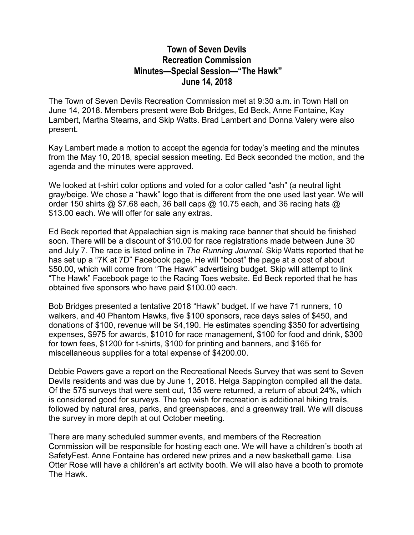## **Town of Seven Devils Recreation Commission Minutes—Special Session—"The Hawk" June 14, 2018**

The Town of Seven Devils Recreation Commission met at 9:30 a.m. in Town Hall on June 14, 2018. Members present were Bob Bridges, Ed Beck, Anne Fontaine, Kay Lambert, Martha Stearns, and Skip Watts. Brad Lambert and Donna Valery were also present.

Kay Lambert made a motion to accept the agenda for today's meeting and the minutes from the May 10, 2018, special session meeting. Ed Beck seconded the motion, and the agenda and the minutes were approved.

We looked at t-shirt color options and voted for a color called "ash" (a neutral light gray/beige. We chose a "hawk" logo that is different from the one used last year. We will order 150 shirts  $@$  \$7.68 each, 36 ball caps  $@$  10.75 each, and 36 racing hats  $@$ \$13.00 each. We will offer for sale any extras.

Ed Beck reported that Appalachian sign is making race banner that should be finished soon. There will be a discount of \$10.00 for race registrations made between June 30 and July 7. The race is listed online in *The Running Journal*. Skip Watts reported that he has set up a "7K at 7D" Facebook page. He will "boost" the page at a cost of about \$50.00, which will come from "The Hawk" advertising budget. Skip will attempt to link "The Hawk" Facebook page to the Racing Toes website. Ed Beck reported that he has obtained five sponsors who have paid \$100.00 each.

Bob Bridges presented a tentative 2018 "Hawk" budget. If we have 71 runners, 10 walkers, and 40 Phantom Hawks, five \$100 sponsors, race days sales of \$450, and donations of \$100, revenue will be \$4,190. He estimates spending \$350 for advertising expenses, \$975 for awards, \$1010 for race management, \$100 for food and drink, \$300 for town fees, \$1200 for t-shirts, \$100 for printing and banners, and \$165 for miscellaneous supplies for a total expense of \$4200.00.

Debbie Powers gave a report on the Recreational Needs Survey that was sent to Seven Devils residents and was due by June 1, 2018. Helga Sappington compiled all the data. Of the 575 surveys that were sent out, 135 were returned, a return of about 24%, which is considered good for surveys. The top wish for recreation is additional hiking trails, followed by natural area, parks, and greenspaces, and a greenway trail. We will discuss the survey in more depth at out October meeting.

There are many scheduled summer events, and members of the Recreation Commission will be responsible for hosting each one. We will have a children's booth at SafetyFest. Anne Fontaine has ordered new prizes and a new basketball game. Lisa Otter Rose will have a children's art activity booth. We will also have a booth to promote The Hawk.